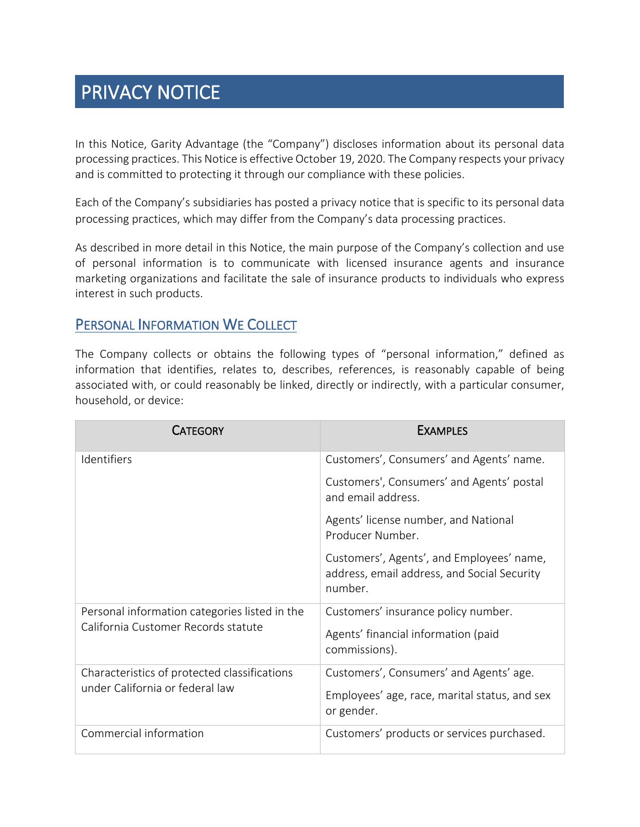# PRIVACY NOTICE

In this Notice, Garity Advantage (the "Company") discloses information about its personal data processing practices. This Notice is effective October 19, 2020. The Company respects your privacy and is committed to protecting it through our compliance with these policies.

Each of the Company's subsidiaries has posted a privacy notice that is specific to its personal data processing practices, which may differ from the Company's data processing practices.

As described in more detail in this Notice, the main purpose of the Company's collection and use of personal information is to communicate with licensed insurance agents and insurance marketing organizations and facilitate the sale of insurance products to individuals who express interest in such products.

### PERSONAL INFORMATION WE COLLECT

The Company collects or obtains the following types of "personal information," defined as information that identifies, relates to, describes, references, is reasonably capable of being associated with, or could reasonably be linked, directly or indirectly, with a particular consumer, household, or device:

| <b>CATEGORY</b>                                                                      | <b>EXAMPLES</b>                                                                                     |
|--------------------------------------------------------------------------------------|-----------------------------------------------------------------------------------------------------|
| Identifiers                                                                          | Customers', Consumers' and Agents' name.                                                            |
|                                                                                      | Customers', Consumers' and Agents' postal<br>and email address.                                     |
|                                                                                      | Agents' license number, and National<br>Producer Number.                                            |
|                                                                                      | Customers', Agents', and Employees' name,<br>address, email address, and Social Security<br>number. |
| Personal information categories listed in the<br>California Customer Records statute | Customers' insurance policy number.                                                                 |
|                                                                                      | Agents' financial information (paid<br>commissions).                                                |
| Characteristics of protected classifications<br>under California or federal law      | Customers', Consumers' and Agents' age.                                                             |
|                                                                                      | Employees' age, race, marital status, and sex<br>or gender.                                         |
| Commercial information                                                               | Customers' products or services purchased.                                                          |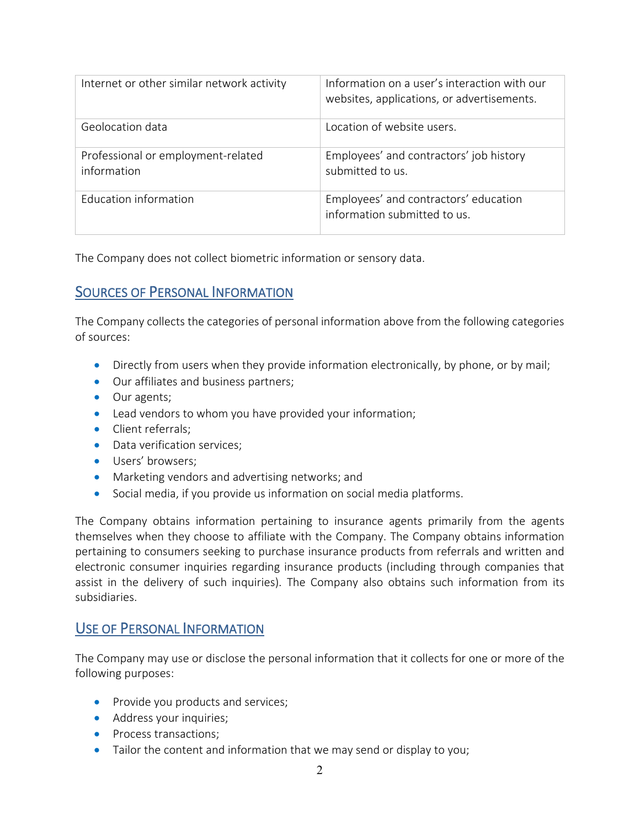| Internet or other similar network activity        | Information on a user's interaction with our<br>websites, applications, or advertisements. |
|---------------------------------------------------|--------------------------------------------------------------------------------------------|
| Geolocation data                                  | Location of website users.                                                                 |
| Professional or employment-related<br>information | Employees' and contractors' job history<br>submitted to us.                                |
| <b>Education information</b>                      | Employees' and contractors' education<br>information submitted to us.                      |

The Company does not collect biometric information or sensory data.

## SOURCES OF PERSONAL INFORMATION

The Company collects the categories of personal information above from the following categories of sources:

- Directly from users when they provide information electronically, by phone, or by mail;
- Our affiliates and business partners;
- Our agents;
- Lead vendors to whom you have provided your information;
- Client referrals;
- Data verification services;
- Users' browsers;
- Marketing vendors and advertising networks; and
- Social media, if you provide us information on social media platforms.

The Company obtains information pertaining to insurance agents primarily from the agents themselves when they choose to affiliate with the Company. The Company obtains information pertaining to consumers seeking to purchase insurance products from referrals and written and electronic consumer inquiries regarding insurance products (including through companies that assist in the delivery of such inquiries). The Company also obtains such information from its subsidiaries.

#### USE OF PERSONAL INFORMATION

The Company may use or disclose the personal information that it collects for one or more of the following purposes:

- Provide you products and services;
- Address your inquiries;
- Process transactions;
- Tailor the content and information that we may send or display to you;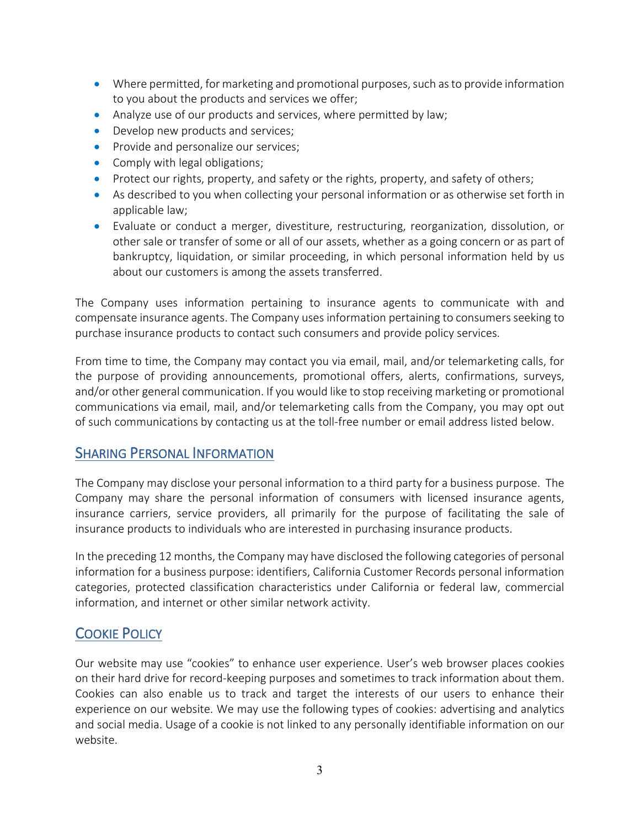- Where permitted, for marketing and promotional purposes, such as to provide information to you about the products and services we offer;
- Analyze use of our products and services, where permitted by law;
- Develop new products and services;
- Provide and personalize our services;
- Comply with legal obligations;
- Protect our rights, property, and safety or the rights, property, and safety of others;
- As described to you when collecting your personal information or as otherwise set forth in applicable law;
- Evaluate or conduct a merger, divestiture, restructuring, reorganization, dissolution, or other sale or transfer of some or all of our assets, whether as a going concern or as part of bankruptcy, liquidation, or similar proceeding, in which personal information held by us about our customers is among the assets transferred.

The Company uses information pertaining to insurance agents to communicate with and compensate insurance agents. The Company uses information pertaining to consumers seeking to purchase insurance products to contact such consumers and provide policy services.

From time to time, the Company may contact you via email, mail, and/or telemarketing calls, for the purpose of providing announcements, promotional offers, alerts, confirmations, surveys, and/or other general communication. If you would like to stop receiving marketing or promotional communications via email, mail, and/or telemarketing calls from the Company, you may opt out of such communications by contacting us at the toll-free number or email address listed below.

## SHARING PERSONAL INFORMATION

The Company may disclose your personal information to a third party for a business purpose. The Company may share the personal information of consumers with licensed insurance agents, insurance carriers, service providers, all primarily for the purpose of facilitating the sale of insurance products to individuals who are interested in purchasing insurance products.

In the preceding 12 months, the Company may have disclosed the following categories of personal information for a business purpose: identifiers, California Customer Records personal information categories, protected classification characteristics under California or federal law, commercial information, and internet or other similar network activity.

# COOKIE POLICY

Our website may use "cookies" to enhance user experience. User's web browser places cookies on their hard drive for record-keeping purposes and sometimes to track information about them. Cookies can also enable us to track and target the interests of our users to enhance their experience on our website. We may use the following types of cookies: advertising and analytics and social media. Usage of a cookie is not linked to any personally identifiable information on our website.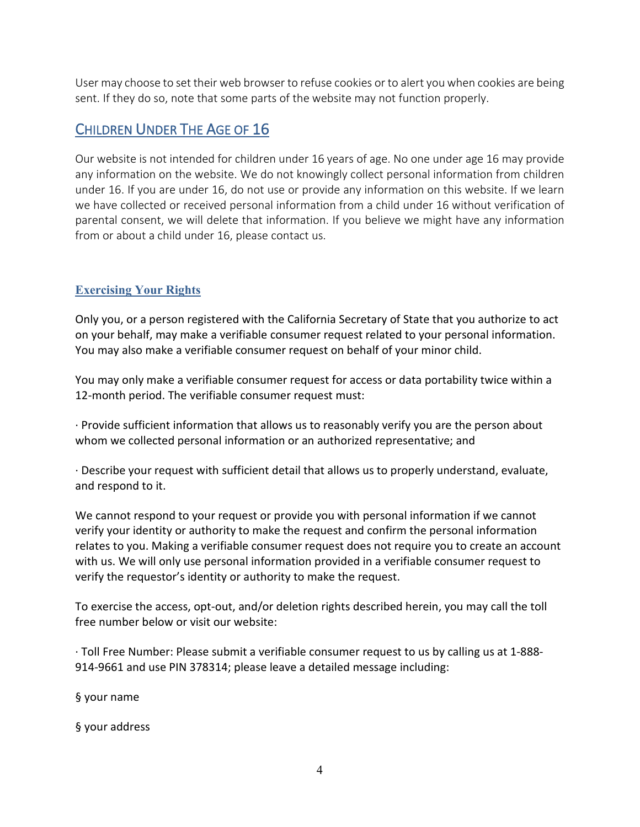User may choose to set their web browser to refuse cookies or to alert you when cookies are being sent. If they do so, note that some parts of the website may not function properly.

# CHILDREN UNDER THE AGE OF 16

Our website is not intended for children under 16 years of age. No one under age 16 may provide any information on the website. We do not knowingly collect personal information from children under 16. If you are under 16, do not use or provide any information on this website. If we learn we have collected or received personal information from a child under 16 without verification of parental consent, we will delete that information. If you believe we might have any information from or about a child under 16, please contact us.

### **Exercising Your Rights**

Only you, or a person registered with the California Secretary of State that you authorize to act on your behalf, may make a verifiable consumer request related to your personal information. You may also make a verifiable consumer request on behalf of your minor child.

You may only make a verifiable consumer request for access or data portability twice within a 12-month period. The verifiable consumer request must:

· Provide sufficient information that allows us to reasonably verify you are the person about whom we collected personal information or an authorized representative; and

· Describe your request with sufficient detail that allows us to properly understand, evaluate, and respond to it.

We cannot respond to your request or provide you with personal information if we cannot verify your identity or authority to make the request and confirm the personal information relates to you. Making a verifiable consumer request does not require you to create an account with us. We will only use personal information provided in a verifiable consumer request to verify the requestor's identity or authority to make the request.

To exercise the access, opt-out, and/or deletion rights described herein, you may call the toll free number below or visit our website:

· Toll Free Number: Please submit a verifiable consumer request to us by calling us at 1-888- 914-9661 and use PIN 378314; please leave a detailed message including:

§ your name

§ your address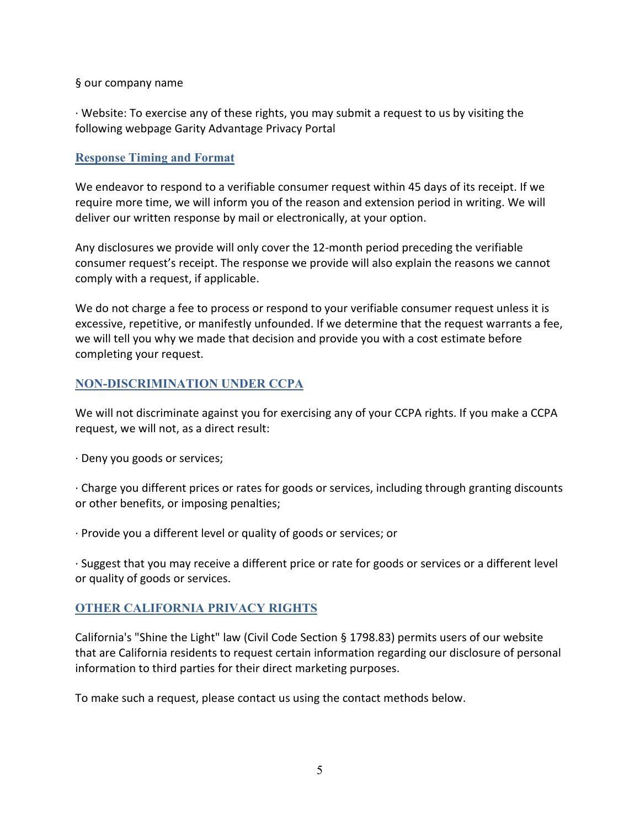#### § our company name

· Website: To exercise any of these rights, you may submit a request to us by visiting the following webpage Garity Advantage Privacy Portal

#### **Response Timing and Format**

We endeavor to respond to a verifiable consumer request within 45 days of its receipt. If we require more time, we will inform you of the reason and extension period in writing. We will deliver our written response by mail or electronically, at your option.

Any disclosures we provide will only cover the 12-month period preceding the verifiable consumer request's receipt. The response we provide will also explain the reasons we cannot comply with a request, if applicable.

We do not charge a fee to process or respond to your verifiable consumer request unless it is excessive, repetitive, or manifestly unfounded. If we determine that the request warrants a fee, we will tell you why we made that decision and provide you with a cost estimate before completing your request.

#### **NON-DISCRIMINATION UNDER CCPA**

We will not discriminate against you for exercising any of your CCPA rights. If you make a CCPA request, we will not, as a direct result:

· Deny you goods or services;

· Charge you different prices or rates for goods or services, including through granting discounts or other benefits, or imposing penalties;

· Provide you a different level or quality of goods or services; or

· Suggest that you may receive a different price or rate for goods or services or a different level or quality of goods or services.

#### **OTHER CALIFORNIA PRIVACY RIGHTS**

California's "Shine the Light" law (Civil Code Section § 1798.83) permits users of our website that are California residents to request certain information regarding our disclosure of personal information to third parties for their direct marketing purposes.

To make such a request, please contact us using the contact methods below.